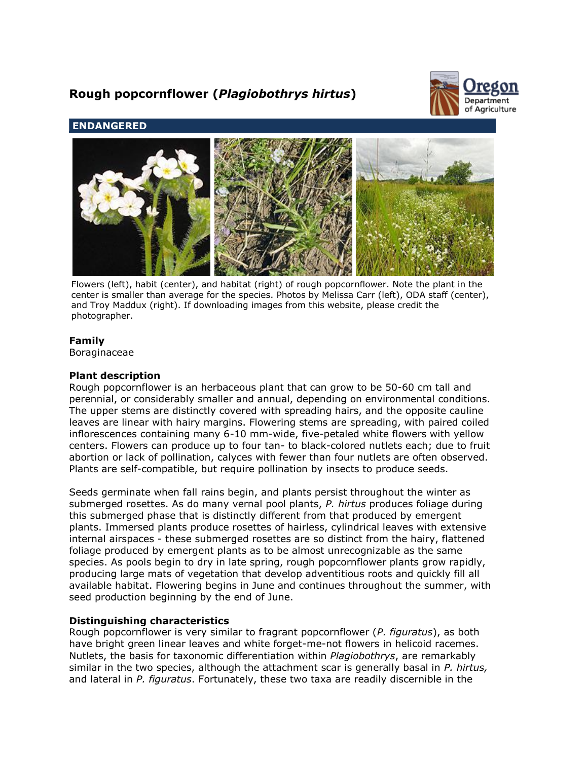# **Rough popcornflower (***Plagiobothrys hirtus***)**



# **ENDANGERED**



Flowers (left), habit (center), and habitat (right) of rough popcornflower. Note the plant in the center is smaller than average for the species. Photos by Melissa Carr (left), ODA staff (center), and Troy Maddux (right). If downloading images from this website, please credit the photographer.

# **Family**

Boraginaceae

# **Plant description**

Rough popcornflower is an herbaceous plant that can grow to be 50-60 cm tall and perennial, or considerably smaller and annual, depending on environmental conditions. The upper stems are distinctly covered with spreading hairs, and the opposite cauline leaves are linear with hairy margins. Flowering stems are spreading, with paired coiled inflorescences containing many 6-10 mm-wide, five-petaled white flowers with yellow centers. Flowers can produce up to four tan- to black-colored nutlets each; due to fruit abortion or lack of pollination, calyces with fewer than four nutlets are often observed. Plants are self-compatible, but require pollination by insects to produce seeds.

Seeds germinate when fall rains begin, and plants persist throughout the winter as submerged rosettes. As do many vernal pool plants, *P. hirtus* produces foliage during this submerged phase that is distinctly different from that produced by emergent plants. Immersed plants produce rosettes of hairless, cylindrical leaves with extensive internal airspaces - these submerged rosettes are so distinct from the hairy, flattened foliage produced by emergent plants as to be almost unrecognizable as the same species. As pools begin to dry in late spring, rough popcornflower plants grow rapidly, producing large mats of vegetation that develop adventitious roots and quickly fill all available habitat. Flowering begins in June and continues throughout the summer, with seed production beginning by the end of June.

# **Distinguishing characteristics**

Rough popcornflower is very similar to fragrant popcornflower (*P. figuratus*), as both have bright green linear leaves and white forget-me-not flowers in helicoid racemes. Nutlets, the basis for taxonomic differentiation within *Plagiobothrys*, are remarkably similar in the two species, although the attachment scar is generally basal in *P. hirtus,* and lateral in *P. figuratus*. Fortunately, these two taxa are readily discernible in the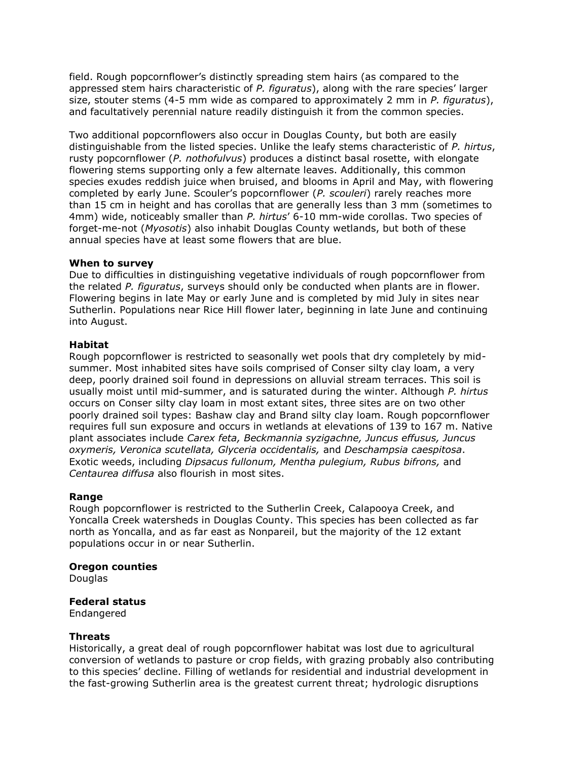field. Rough popcornflower's distinctly spreading stem hairs (as compared to the appressed stem hairs characteristic of *P. figuratus*), along with the rare species' larger size, stouter stems (4-5 mm wide as compared to approximately 2 mm in *P. figuratus*), and facultatively perennial nature readily distinguish it from the common species.

Two additional popcornflowers also occur in Douglas County, but both are easily distinguishable from the listed species. Unlike the leafy stems characteristic of *P. hirtus*, rusty popcornflower (*P. nothofulvus*) produces a distinct basal rosette, with elongate flowering stems supporting only a few alternate leaves. Additionally, this common species exudes reddish juice when bruised, and blooms in April and May, with flowering completed by early June. Scouler's popcornflower (*P. scouleri*) rarely reaches more than 15 cm in height and has corollas that are generally less than 3 mm (sometimes to 4mm) wide, noticeably smaller than *P. hirtus*' 6-10 mm-wide corollas. Two species of forget-me-not (*Myosotis*) also inhabit Douglas County wetlands, but both of these annual species have at least some flowers that are blue.

### **When to survey**

Due to difficulties in distinguishing vegetative individuals of rough popcornflower from the related *P. figuratus*, surveys should only be conducted when plants are in flower. Flowering begins in late May or early June and is completed by mid July in sites near Sutherlin. Populations near Rice Hill flower later, beginning in late June and continuing into August.

#### **Habitat**

Rough popcornflower is restricted to seasonally wet pools that dry completely by midsummer. Most inhabited sites have soils comprised of Conser silty clay loam, a very deep, poorly drained soil found in depressions on alluvial stream terraces. This soil is usually moist until mid-summer, and is saturated during the winter. Although *P. hirtus* occurs on Conser silty clay loam in most extant sites, three sites are on two other poorly drained soil types: Bashaw clay and Brand silty clay loam. Rough popcornflower requires full sun exposure and occurs in wetlands at elevations of 139 to 167 m. Native plant associates include *Carex feta, Beckmannia syzigachne, Juncus effusus, Juncus oxymeris, Veronica scutellata, Glyceria occidentalis,* and *Deschampsia caespitosa*. Exotic weeds, including *Dipsacus fullonum, Mentha pulegium, Rubus bifrons,* and *Centaurea diffusa* also flourish in most sites.

### **Range**

Rough popcornflower is restricted to the Sutherlin Creek, Calapooya Creek, and Yoncalla Creek watersheds in Douglas County. This species has been collected as far north as Yoncalla, and as far east as Nonpareil, but the majority of the 12 extant populations occur in or near Sutherlin.

#### **Oregon counties**

**Douglas** 

# **Federal status**

Endangered

### **Threats**

Historically, a great deal of rough popcornflower habitat was lost due to agricultural conversion of wetlands to pasture or crop fields, with grazing probably also contributing to this species' decline. Filling of wetlands for residential and industrial development in the fast-growing Sutherlin area is the greatest current threat; hydrologic disruptions